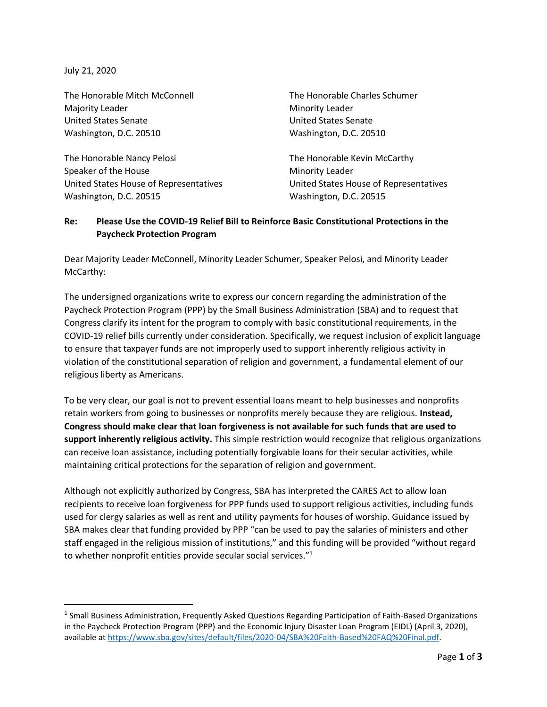July 21, 2020

The Honorable Mitch McConnell Majority Leader United States Senate Washington, D.C. 20510

The Honorable Nancy Pelosi Speaker of the House United States House of Representatives Washington, D.C. 20515

The Honorable Charles Schumer Minority Leader United States Senate Washington, D.C. 20510

The Honorable Kevin McCarthy Minority Leader United States House of Representatives Washington, D.C. 20515

## **Re: Please Use the COVID-19 Relief Bill to Reinforce Basic Constitutional Protections in the Paycheck Protection Program**

Dear Majority Leader McConnell, Minority Leader Schumer, Speaker Pelosi, and Minority Leader McCarthy:

The undersigned organizations write to express our concern regarding the administration of the Paycheck Protection Program (PPP) by the Small Business Administration (SBA) and to request that Congress clarify its intent for the program to comply with basic constitutional requirements, in the COVID-19 relief bills currently under consideration. Specifically, we request inclusion of explicit language to ensure that taxpayer funds are not improperly used to support inherently religious activity in violation of the constitutional separation of religion and government, a fundamental element of our religious liberty as Americans.

To be very clear, our goal is not to prevent essential loans meant to help businesses and nonprofits retain workers from going to businesses or nonprofits merely because they are religious. **Instead, Congress should make clear that loan forgiveness is not available for such funds that are used to support inherently religious activity.** This simple restriction would recognize that religious organizations can receive loan assistance, including potentially forgivable loans for their secular activities, while maintaining critical protections for the separation of religion and government.

Although not explicitly authorized by Congress, SBA has interpreted the CARES Act to allow loan recipients to receive loan forgiveness for PPP funds used to support religious activities, including funds used for clergy salaries as well as rent and utility payments for houses of worship. Guidance issued by SBA makes clear that funding provided by PPP "can be used to pay the salaries of ministers and other staff engaged in the religious mission of institutions," and this funding will be provided "without regard to whether nonprofit entities provide secular social services."<sup>1</sup>

<sup>&</sup>lt;sup>1</sup> Small Business Administration, Frequently Asked Questions Regarding Participation of Faith-Based Organizations in the Paycheck Protection Program (PPP) and the Economic Injury Disaster Loan Program (EIDL) (April 3, 2020), available at [https://www.sba.gov/sites/default/files/2020-04/SBA%20Faith-Based%20FAQ%20Final.pdf.](https://www.sba.gov/sites/default/files/2020-04/SBA%20Faith-Based%20FAQ%20Final.pdf)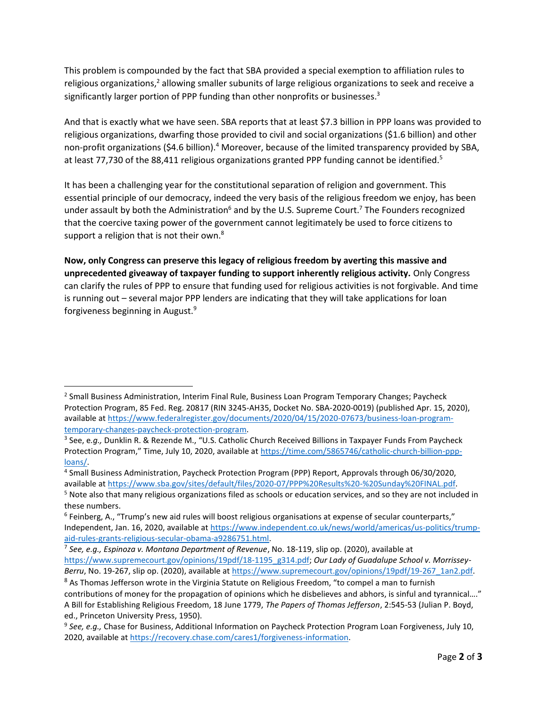This problem is compounded by the fact that SBA provided a special exemption to affiliation rules to religious organizations, $2$  allowing smaller subunits of large religious organizations to seek and receive a significantly larger portion of PPP funding than other nonprofits or businesses.<sup>3</sup>

And that is exactly what we have seen. SBA reports that at least \$7.3 billion in PPP loans was provided to religious organizations, dwarfing those provided to civil and social organizations (\$1.6 billion) and other non-profit organizations (\$4.6 billion).<sup>4</sup> Moreover, because of the limited transparency provided by SBA, at least 77,730 of the 88,411 religious organizations granted PPP funding cannot be identified.<sup>5</sup>

It has been a challenging year for the constitutional separation of religion and government. This essential principle of our democracy, indeed the very basis of the religious freedom we enjoy, has been under assault by both the Administration<sup>6</sup> and by the U.S. Supreme Court.<sup>7</sup> The Founders recognized that the coercive taxing power of the government cannot legitimately be used to force citizens to support a religion that is not their own.<sup>8</sup>

**Now, only Congress can preserve this legacy of religious freedom by averting this massive and unprecedented giveaway of taxpayer funding to support inherently religious activity.** Only Congress can clarify the rules of PPP to ensure that funding used for religious activities is not forgivable. And time is running out – several major PPP lenders are indicating that they will take applications for loan forgiveness beginning in August.<sup>9</sup>

<sup>&</sup>lt;sup>2</sup> Small Business Administration, Interim Final Rule, Business Loan Program Temporary Changes; Paycheck Protection Program, 85 Fed. Reg. 20817 (RIN 3245-AH35, Docket No. SBA-2020-0019) (published Apr. 15, 2020), available a[t https://www.federalregister.gov/documents/2020/04/15/2020-07673/business-loan-program](https://www.federalregister.gov/documents/2020/04/15/2020-07673/business-loan-program-temporary-changes-paycheck-protection-program)[temporary-changes-paycheck-protection-program.](https://www.federalregister.gov/documents/2020/04/15/2020-07673/business-loan-program-temporary-changes-paycheck-protection-program)

<sup>3</sup> See, e*.g.,* Dunklin R. & Rezende M., "U.S. Catholic Church Received Billions in Taxpayer Funds From Paycheck Protection Program," Time, July 10, 2020, available at [https://time.com/5865746/catholic-church-billion-ppp](https://time.com/5865746/catholic-church-billion-ppp-loans/)[loans/.](https://time.com/5865746/catholic-church-billion-ppp-loans/) 

<sup>4</sup> Small Business Administration, Paycheck Protection Program (PPP) Report, Approvals through 06/30/2020, available a[t https://www.sba.gov/sites/default/files/2020-07/PPP%20Results%20-%20Sunday%20FINAL.pdf.](https://www.sba.gov/sites/default/files/2020-07/PPP%20Results%20-%20Sunday%20FINAL.pdf)

<sup>&</sup>lt;sup>5</sup> Note also that many religious organizations filed as schools or education services, and so they are not included in these numbers.

<sup>&</sup>lt;sup>6</sup> Feinberg, A., "Trump's new aid rules will boost religious organisations at expense of secular counterparts," Independent, Jan. 16, 2020, available a[t https://www.independent.co.uk/news/world/americas/us-politics/trump](https://www.independent.co.uk/news/world/americas/us-politics/trump-aid-rules-grants-religious-secular-obama-a9286751.html)[aid-rules-grants-religious-secular-obama-a9286751.html.](https://www.independent.co.uk/news/world/americas/us-politics/trump-aid-rules-grants-religious-secular-obama-a9286751.html) 

<sup>7</sup> *See, e.g., Espinoza v. Montana Department of Revenue*, No. 18-119, slip op. (2020), available at [https://www.supremecourt.gov/opinions/19pdf/18-1195\\_g314.pdf;](https://www.supremecourt.gov/opinions/19pdf/18-1195_g314.pdf) *Our Lady of Guadalupe School v. Morrissey-Berru*, No. 19-267, slip op. (2020), available a[t https://www.supremecourt.gov/opinions/19pdf/19-267\\_1an2.pdf.](https://www.supremecourt.gov/opinions/19pdf/19-267_1an2.pdf) 

<sup>&</sup>lt;sup>8</sup> As Thomas Jefferson wrote in the Virginia Statute on Religious Freedom, "to compel a man to furnish contributions of money for the propagation of opinions which he disbelieves and abhors, is sinful and tyrannical…." A Bill for Establishing Religious Freedom, 18 June 1779, *The Papers of Thomas Jefferson*, 2:545-53 (Julian P. Boyd, ed., Princeton University Press, 1950).

<sup>9</sup> *See, e.g.,* Chase for Business, Additional Information on Paycheck Protection Program Loan Forgiveness, July 10, 2020, available a[t https://recovery.chase.com/cares1/forgiveness-information.](https://recovery.chase.com/cares1/forgiveness-information)